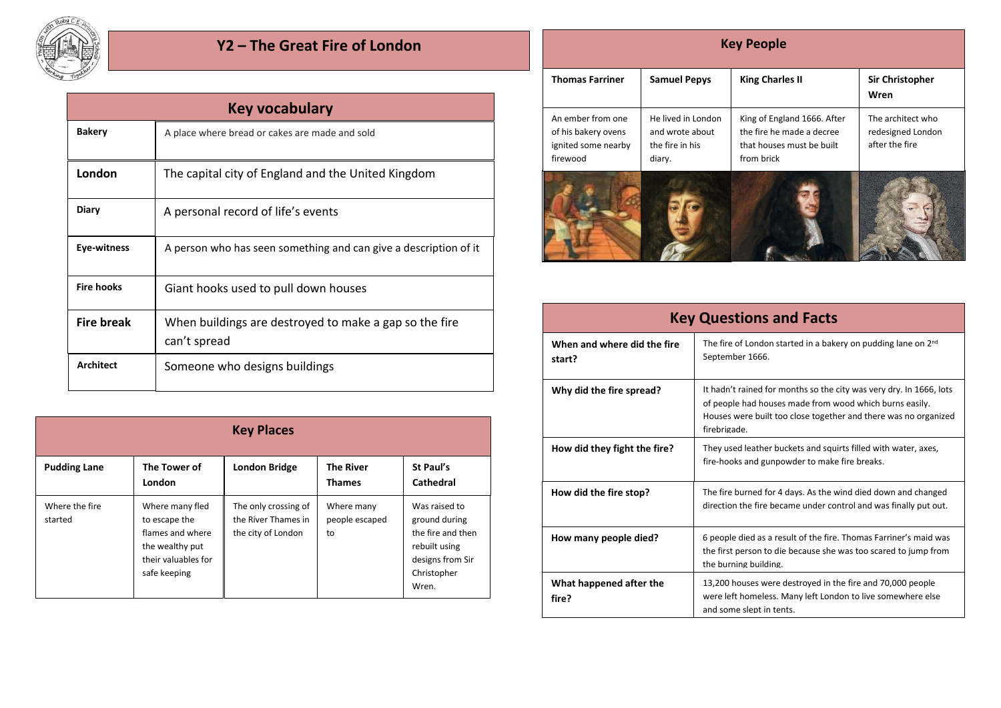

## **Y2 – The Great Fire of London**

| Key vocabulary    |                                                                        |  |  |  |
|-------------------|------------------------------------------------------------------------|--|--|--|
| <b>Bakery</b>     | A place where bread or cakes are made and sold                         |  |  |  |
| London            | The capital city of England and the United Kingdom                     |  |  |  |
| Diary             | A personal record of life's events                                     |  |  |  |
| Eye-witness       | A person who has seen something and can give a description of it       |  |  |  |
| <b>Fire hooks</b> | Giant hooks used to pull down houses                                   |  |  |  |
| <b>Fire break</b> | When buildings are destroyed to make a gap so the fire<br>can't spread |  |  |  |
| <b>Architect</b>  | Someone who designs buildings                                          |  |  |  |

| <b>Key Places</b>         |                                                                                                                |                                                                   |                                    |                                                                                                                  |  |
|---------------------------|----------------------------------------------------------------------------------------------------------------|-------------------------------------------------------------------|------------------------------------|------------------------------------------------------------------------------------------------------------------|--|
| <b>Pudding Lane</b>       | The Tower of<br>London                                                                                         | <b>London Bridge</b>                                              | <b>The River</b><br><b>Thames</b>  | St Paul's<br>Cathedral                                                                                           |  |
| Where the fire<br>started | Where many fled<br>to escape the<br>flames and where<br>the wealthy put<br>their valuables for<br>safe keeping | The only crossing of<br>the River Thames in<br>the city of London | Where many<br>people escaped<br>to | Was raised to<br>ground during<br>the fire and then<br>rebuilt using<br>designs from Sir<br>Christopher<br>Wren. |  |

| <b>Key People</b>                                                           |                                                                    |                                                                                                     |                                                          |  |  |
|-----------------------------------------------------------------------------|--------------------------------------------------------------------|-----------------------------------------------------------------------------------------------------|----------------------------------------------------------|--|--|
| <b>Thomas Farriner</b>                                                      | <b>Samuel Pepys</b>                                                | <b>King Charles II</b>                                                                              | <b>Sir Christopher</b><br>Wren                           |  |  |
| An ember from one<br>of his bakery ovens<br>ignited some nearby<br>firewood | He lived in London<br>and wrote about<br>the fire in his<br>diary. | King of England 1666. After<br>the fire he made a decree<br>that houses must be built<br>from brick | The architect who<br>redesigned London<br>after the fire |  |  |
|                                                                             |                                                                    |                                                                                                     |                                                          |  |  |

| <b>Key Questions and Facts</b>        |                                                                                                                                                                                                                   |  |  |
|---------------------------------------|-------------------------------------------------------------------------------------------------------------------------------------------------------------------------------------------------------------------|--|--|
| When and where did the fire<br>start? | The fire of London started in a bakery on pudding lane on 2 <sup>nd</sup><br>September 1666.                                                                                                                      |  |  |
| Why did the fire spread?              | It hadn't rained for months so the city was very dry. In 1666, lots<br>of people had houses made from wood which burns easily.<br>Houses were built too close together and there was no organized<br>firebrigade. |  |  |
| How did they fight the fire?          | They used leather buckets and squirts filled with water, axes,<br>fire-hooks and gunpowder to make fire breaks.                                                                                                   |  |  |
| How did the fire stop?                | The fire burned for 4 days. As the wind died down and changed<br>direction the fire became under control and was finally put out.                                                                                 |  |  |
| How many people died?                 | 6 people died as a result of the fire. Thomas Farriner's maid was<br>the first person to die because she was too scared to jump from<br>the burning building.                                                     |  |  |
| What happened after the<br>fire?      | 13,200 houses were destroyed in the fire and 70,000 people<br>were left homeless. Many left London to live somewhere else<br>and some slept in tents.                                                             |  |  |